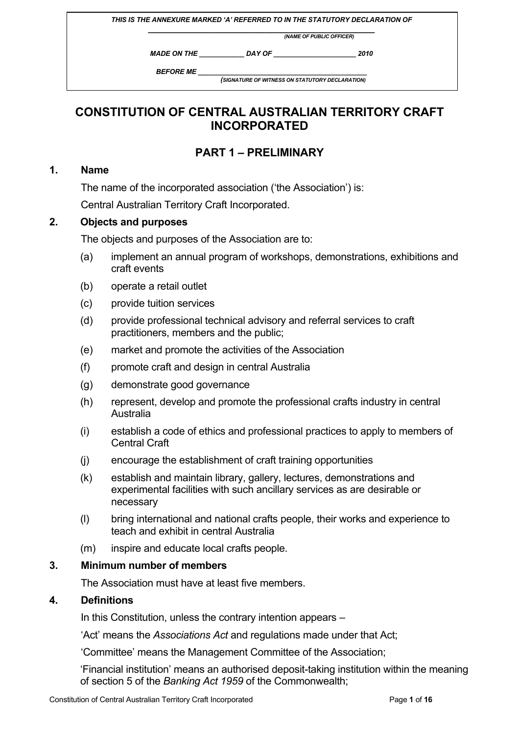|                          |                                                 | THIS IS THE ANNEXURE MARKED 'A' REFERRED TO IN THE STATUTORY DECLARATION OF |  |
|--------------------------|-------------------------------------------------|-----------------------------------------------------------------------------|--|
| (NAME OF PUBLIC OFFICER) |                                                 |                                                                             |  |
| <b>MADE ON THE</b>       | DAY OF                                          | 2010                                                                        |  |
| <b>BEFORE ME</b>         | (SIGNATURE OF WITNESS ON STATUTORY DECLARATION) |                                                                             |  |
|                          |                                                 |                                                                             |  |

# **CONSTITUTION OF CENTRAL AUSTRALIAN TERRITORY CRAFT INCORPORATED**

# **PART 1 – PRELIMINARY**

## **1. Name**

The name of the incorporated association ('the Association') is:

Central Australian Territory Craft Incorporated.

#### **2. Objects and purposes**

The objects and purposes of the Association are to:

- (a) implement an annual program of workshops, demonstrations, exhibitions and craft events
- (b) operate a retail outlet
- (c) provide tuition services
- (d) provide professional technical advisory and referral services to craft practitioners, members and the public;
- (e) market and promote the activities of the Association
- (f) promote craft and design in central Australia
- (g) demonstrate good governance
- (h) represent, develop and promote the professional crafts industry in central Australia
- (i) establish a code of ethics and professional practices to apply to members of Central Craft
- (j) encourage the establishment of craft training opportunities
- (k) establish and maintain library, gallery, lectures, demonstrations and experimental facilities with such ancillary services as are desirable or necessary
- (l) bring international and national crafts people, their works and experience to teach and exhibit in central Australia
- (m) inspire and educate local crafts people.

## **3. Minimum number of members**

The Association must have at least five members.

## **4. Definitions**

In this Constitution, unless the contrary intention appears –

'Act' means the *Associations Act* and regulations made under that Act;

'Committee' means the Management Committee of the Association;

'Financial institution' means an authorised deposit-taking institution within the meaning of section 5 of the *Banking Act 1959* of the Commonwealth;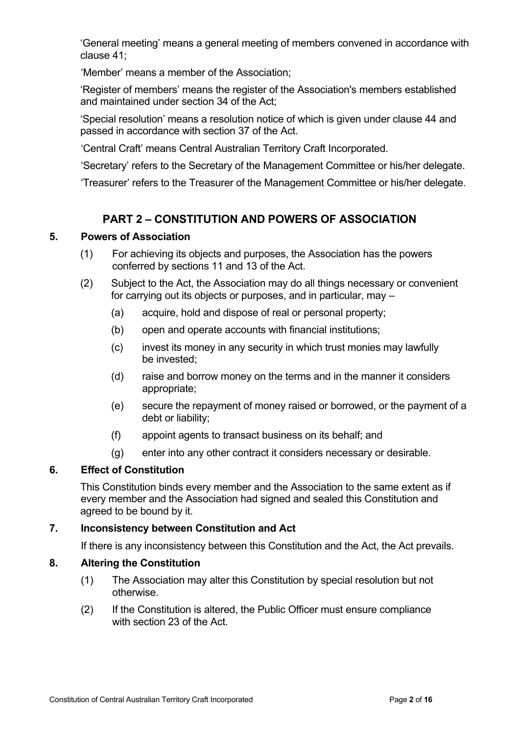'General meeting' means a general meeting of members convened in accordance with clause 41;

'Member' means a member of the Association;

'Register of members' means the register of the Association's members established and maintained under section 34 of the Act;

'Special resolution' means a resolution notice of which is given under clause 44 and passed in accordance with section 37 of the Act.

'Central Craft' means Central Australian Territory Craft Incorporated.

'Secretary' refers to the Secretary of the Management Committee or his/her delegate.

'Treasurer' refers to the Treasurer of the Management Committee or his/her delegate.

## **PART 2 – CONSTITUTION AND POWERS OF ASSOCIATION**

## **5. Powers of Association**

- (1) For achieving its objects and purposes, the Association has the powers conferred by sections 11 and 13 of the Act.
- (2) Subject to the Act, the Association may do all things necessary or convenient for carrying out its objects or purposes, and in particular, may –
	- (a) acquire, hold and dispose of real or personal property;
	- (b) open and operate accounts with financial institutions;
	- (c) invest its money in any security in which trust monies may lawfully be invested;
	- (d) raise and borrow money on the terms and in the manner it considers appropriate;
	- (e) secure the repayment of money raised or borrowed, or the payment of a debt or liability;
	- (f) appoint agents to transact business on its behalf; and
	- (g) enter into any other contract it considers necessary or desirable.

## **6. Effect of Constitution**

This Constitution binds every member and the Association to the same extent as if every member and the Association had signed and sealed this Constitution and agreed to be bound by it.

## **7. Inconsistency between Constitution and Act**

If there is any inconsistency between this Constitution and the Act, the Act prevails.

## **8. Altering the Constitution**

- (1) The Association may alter this Constitution by special resolution but not otherwise.
- (2) If the Constitution is altered, the Public Officer must ensure compliance with section 23 of the Act.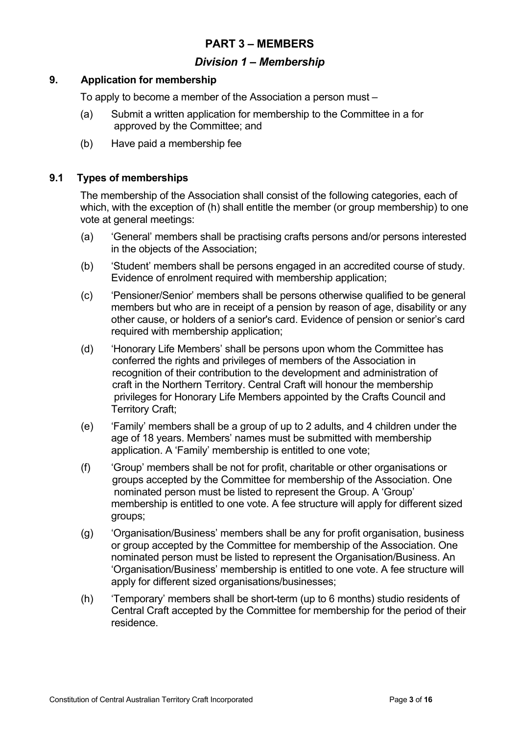## **PART 3 – MEMBERS**

## *Division 1 – Membership*

### **9. Application for membership**

To apply to become a member of the Association a person must –

- (a) Submit a written application for membership to the Committee in a for approved by the Committee; and
- (b) Have paid a membership fee

## **9.1 Types of memberships**

The membership of the Association shall consist of the following categories, each of which, with the exception of (h) shall entitle the member (or group membership) to one vote at general meetings:

- (a) 'General' members shall be practising crafts persons and/or persons interested in the objects of the Association;
- (b) 'Student' members shall be persons engaged in an accredited course of study. Evidence of enrolment required with membership application:
- (c) 'Pensioner/Senior' members shall be persons otherwise qualified to be general members but who are in receipt of a pension by reason of age, disability or any other cause, or holders of a senior's card. Evidence of pension or senior's card required with membership application;
- (d) 'Honorary Life Members' shall be persons upon whom the Committee has conferred the rights and privileges of members of the Association in recognition of their contribution to the development and administration of craft in the Northern Territory. Central Craft will honour the membership privileges for Honorary Life Members appointed by the Crafts Council and Territory Craft;
- (e) 'Family' members shall be a group of up to 2 adults, and 4 children under the age of 18 years. Members' names must be submitted with membership application. A 'Family' membership is entitled to one vote;
- (f) 'Group' members shall be not for profit, charitable or other organisations or groups accepted by the Committee for membership of the Association. One nominated person must be listed to represent the Group. A 'Group' membership is entitled to one vote. A fee structure will apply for different sized groups;
- (g) 'Organisation/Business' members shall be any for profit organisation, business or group accepted by the Committee for membership of the Association. One nominated person must be listed to represent the Organisation/Business. An 'Organisation/Business' membership is entitled to one vote. A fee structure will apply for different sized organisations/businesses;
- (h) 'Temporary' members shall be short-term (up to 6 months) studio residents of Central Craft accepted by the Committee for membership for the period of their residence.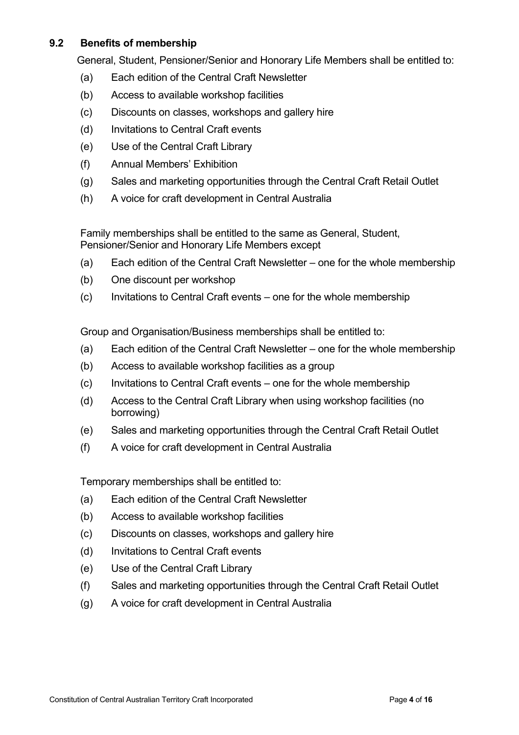## **9.2 Benefits of membership**

General, Student, Pensioner/Senior and Honorary Life Members shall be entitled to:

- (a) Each edition of the Central Craft Newsletter
- (b) Access to available workshop facilities
- (c) Discounts on classes, workshops and gallery hire
- (d) Invitations to Central Craft events
- (e) Use of the Central Craft Library
- (f) Annual Members' Exhibition
- (g) Sales and marketing opportunities through the Central Craft Retail Outlet
- (h) A voice for craft development in Central Australia

Family memberships shall be entitled to the same as General, Student, Pensioner/Senior and Honorary Life Members except

- (a) Each edition of the Central Craft Newsletter one for the whole membership
- (b) One discount per workshop
- (c) Invitations to Central Craft events one for the whole membership

Group and Organisation/Business memberships shall be entitled to:

- (a) Each edition of the Central Craft Newsletter one for the whole membership
- (b) Access to available workshop facilities as a group
- (c) Invitations to Central Craft events one for the whole membership
- (d) Access to the Central Craft Library when using workshop facilities (no borrowing)
- (e) Sales and marketing opportunities through the Central Craft Retail Outlet
- (f) A voice for craft development in Central Australia

Temporary memberships shall be entitled to:

- (a) Each edition of the Central Craft Newsletter
- (b) Access to available workshop facilities
- (c) Discounts on classes, workshops and gallery hire
- (d) Invitations to Central Craft events
- (e) Use of the Central Craft Library
- (f) Sales and marketing opportunities through the Central Craft Retail Outlet
- (g) A voice for craft development in Central Australia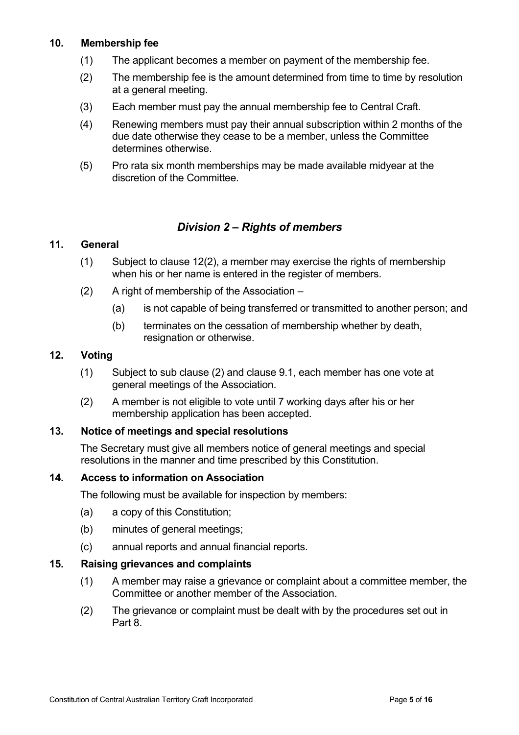## **10. Membership fee**

- (1) The applicant becomes a member on payment of the membership fee.
- (2) The membership fee is the amount determined from time to time by resolution at a general meeting.
- (3) Each member must pay the annual membership fee to Central Craft.
- (4) Renewing members must pay their annual subscription within 2 months of the due date otherwise they cease to be a member, unless the Committee determines otherwise.
- (5) Pro rata six month memberships may be made available midyear at the discretion of the Committee.

## *Division 2 – Rights of members*

## **11. General**

- (1) Subject to clause 12(2), a member may exercise the rights of membership when his or her name is entered in the register of members.
- (2) A right of membership of the Association
	- (a) is not capable of being transferred or transmitted to another person; and
	- (b) terminates on the cessation of membership whether by death, resignation or otherwise.

#### **12. Voting**

- (1) Subject to sub clause (2) and clause 9.1, each member has one vote at general meetings of the Association.
- (2) A member is not eligible to vote until 7 working days after his or her membership application has been accepted.

## **13. Notice of meetings and special resolutions**

The Secretary must give all members notice of general meetings and special resolutions in the manner and time prescribed by this Constitution.

## **14. Access to information on Association**

The following must be available for inspection by members:

- (a) a copy of this Constitution;
- (b) minutes of general meetings;
- (c) annual reports and annual financial reports.

## **15. Raising grievances and complaints**

- (1) A member may raise a grievance or complaint about a committee member, the Committee or another member of the Association.
- (2) The grievance or complaint must be dealt with by the procedures set out in Part 8.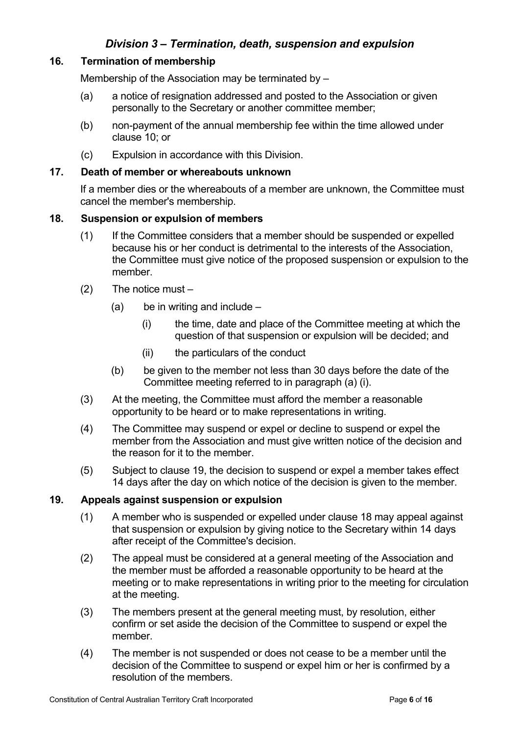## *Division 3 – Termination, death, suspension and expulsion*

## **16. Termination of membership**

Membership of the Association may be terminated by –

- (a) a notice of resignation addressed and posted to the Association or given personally to the Secretary or another committee member;
- (b) non-payment of the annual membership fee within the time allowed under clause 10; or
- (c) Expulsion in accordance with this Division.

## **17. Death of member or whereabouts unknown**

If a member dies or the whereabouts of a member are unknown, the Committee must cancel the member's membership.

#### **18. Suspension or expulsion of members**

- (1) If the Committee considers that a member should be suspended or expelled because his or her conduct is detrimental to the interests of the Association, the Committee must give notice of the proposed suspension or expulsion to the member.
- (2) The notice must
	- $(a)$  be in writing and include
		- (i) the time, date and place of the Committee meeting at which the question of that suspension or expulsion will be decided; and
		- (ii) the particulars of the conduct
	- (b) be given to the member not less than 30 days before the date of the Committee meeting referred to in paragraph (a) (i).
- (3) At the meeting, the Committee must afford the member a reasonable opportunity to be heard or to make representations in writing.
- (4) The Committee may suspend or expel or decline to suspend or expel the member from the Association and must give written notice of the decision and the reason for it to the member.
- (5) Subject to clause 19, the decision to suspend or expel a member takes effect 14 days after the day on which notice of the decision is given to the member.

#### **19. Appeals against suspension or expulsion**

- (1) A member who is suspended or expelled under clause 18 may appeal against that suspension or expulsion by giving notice to the Secretary within 14 days after receipt of the Committee's decision.
- (2) The appeal must be considered at a general meeting of the Association and the member must be afforded a reasonable opportunity to be heard at the meeting or to make representations in writing prior to the meeting for circulation at the meeting.
- (3) The members present at the general meeting must, by resolution, either confirm or set aside the decision of the Committee to suspend or expel the member.
- (4) The member is not suspended or does not cease to be a member until the decision of the Committee to suspend or expel him or her is confirmed by a resolution of the members.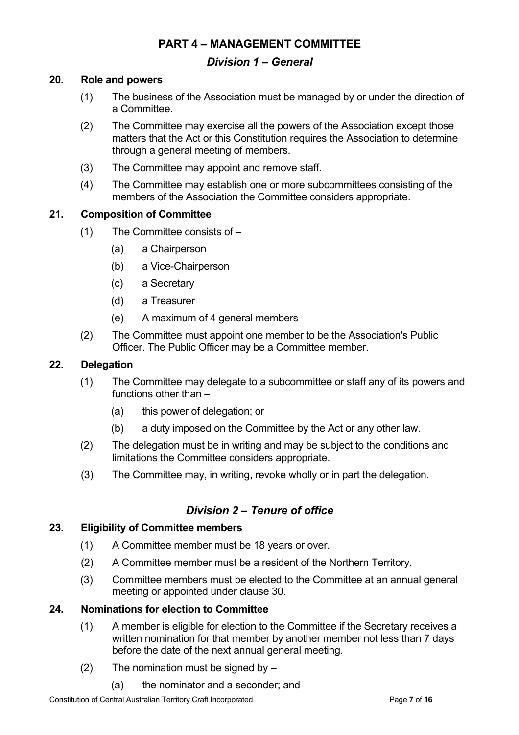## **PART 4 – MANAGEMENT COMMITTEE**

## *Division 1 – General*

#### **20. Role and powers**

- (1) The business of the Association must be managed by or under the direction of a Committee.
- (2) The Committee may exercise all the powers of the Association except those matters that the Act or this Constitution requires the Association to determine through a general meeting of members.
- (3) The Committee may appoint and remove staff.
- (4) The Committee may establish one or more subcommittees consisting of the members of the Association the Committee considers appropriate.

#### **21. Composition of Committee**

- (1) The Committee consists of
	- (a) a Chairperson
	- (b) a Vice-Chairperson
	- (c) a Secretary
	- (d) a Treasurer
	- (e) A maximum of 4 general members
- (2) The Committee must appoint one member to be the Association's Public Officer. The Public Officer may be a Committee member.

#### **22. Delegation**

- (1) The Committee may delegate to a subcommittee or staff any of its powers and functions other than –
	- (a) this power of delegation; or
	- (b) a duty imposed on the Committee by the Act or any other law.
- (2) The delegation must be in writing and may be subject to the conditions and limitations the Committee considers appropriate.
- (3) The Committee may, in writing, revoke wholly or in part the delegation.

## *Division 2 – Tenure of office*

#### **23. Eligibility of Committee members**

- (1) A Committee member must be 18 years or over.
- (2) A Committee member must be a resident of the Northern Territory.
- (3) Committee members must be elected to the Committee at an annual general meeting or appointed under clause 30.

### **24. Nominations for election to Committee**

- (1) A member is eligible for election to the Committee if the Secretary receives a written nomination for that member by another member not less than 7 days before the date of the next annual general meeting.
- (2) The nomination must be signed by  $-$ 
	- (a) the nominator and a seconder; and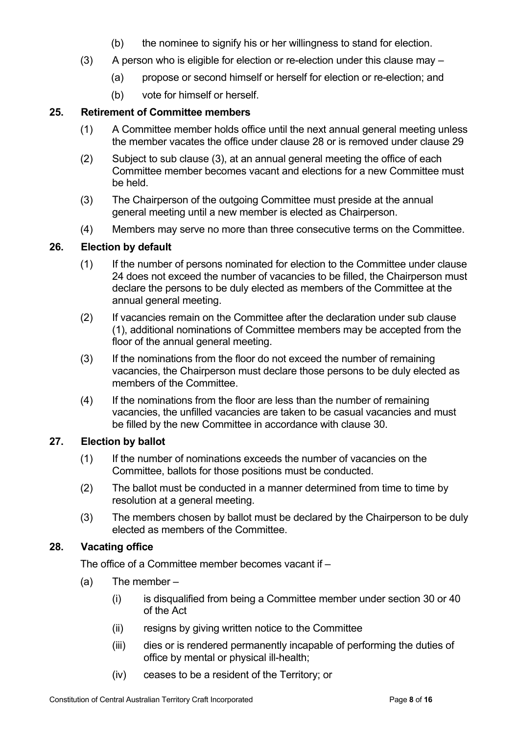- (b) the nominee to signify his or her willingness to stand for election.
- (3) A person who is eligible for election or re-election under this clause may
	- (a) propose or second himself or herself for election or re-election; and
	- (b) vote for himself or herself.

## **25. Retirement of Committee members**

- (1) A Committee member holds office until the next annual general meeting unless the member vacates the office under clause 28 or is removed under clause 29
- (2) Subject to sub clause (3), at an annual general meeting the office of each Committee member becomes vacant and elections for a new Committee must be held.
- (3) The Chairperson of the outgoing Committee must preside at the annual general meeting until a new member is elected as Chairperson.
- (4) Members may serve no more than three consecutive terms on the Committee.

## **26. Election by default**

- (1) If the number of persons nominated for election to the Committee under clause 24 does not exceed the number of vacancies to be filled, the Chairperson must declare the persons to be duly elected as members of the Committee at the annual general meeting.
- (2) If vacancies remain on the Committee after the declaration under sub clause (1), additional nominations of Committee members may be accepted from the floor of the annual general meeting.
- (3) If the nominations from the floor do not exceed the number of remaining vacancies, the Chairperson must declare those persons to be duly elected as members of the Committee.
- (4) If the nominations from the floor are less than the number of remaining vacancies, the unfilled vacancies are taken to be casual vacancies and must be filled by the new Committee in accordance with clause 30.

## **27. Election by ballot**

- (1) If the number of nominations exceeds the number of vacancies on the Committee, ballots for those positions must be conducted.
- (2) The ballot must be conducted in a manner determined from time to time by resolution at a general meeting.
- (3) The members chosen by ballot must be declared by the Chairperson to be duly elected as members of the Committee.

## **28. Vacating office**

The office of a Committee member becomes vacant if –

- (a) The member
	- (i) is disqualified from being a Committee member under section 30 or 40 of the Act
	- (ii) resigns by giving written notice to the Committee
	- (iii) dies or is rendered permanently incapable of performing the duties of office by mental or physical ill-health;
	- (iv) ceases to be a resident of the Territory; or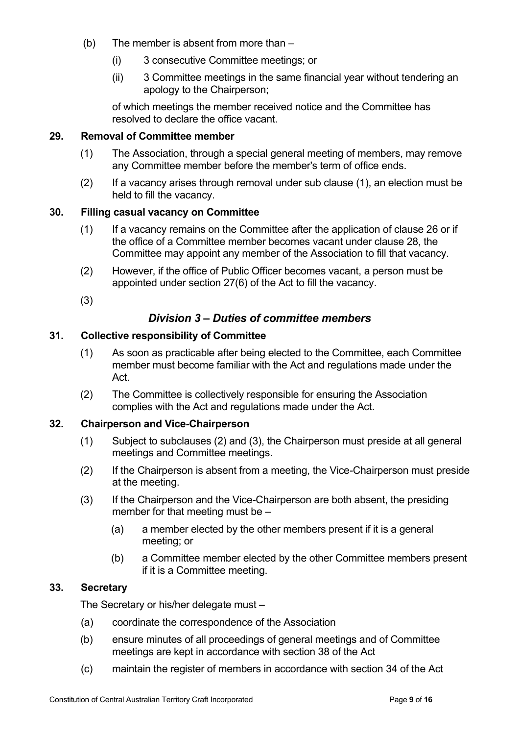- (b) The member is absent from more than
	- (i) 3 consecutive Committee meetings; or
	- (ii) 3 Committee meetings in the same financial year without tendering an apology to the Chairperson;

of which meetings the member received notice and the Committee has resolved to declare the office vacant.

## **29. Removal of Committee member**

- (1) The Association, through a special general meeting of members, may remove any Committee member before the member's term of office ends.
- (2) If a vacancy arises through removal under sub clause (1), an election must be held to fill the vacancy.

#### **30. Filling casual vacancy on Committee**

- (1) If a vacancy remains on the Committee after the application of clause 26 or if the office of a Committee member becomes vacant under clause 28, the Committee may appoint any member of the Association to fill that vacancy.
- (2) However, if the office of Public Officer becomes vacant, a person must be appointed under section 27(6) of the Act to fill the vacancy.
- (3)

## *Division 3 – Duties of committee members*

#### **31. Collective responsibility of Committee**

- (1) As soon as practicable after being elected to the Committee, each Committee member must become familiar with the Act and regulations made under the Act.
- (2) The Committee is collectively responsible for ensuring the Association complies with the Act and regulations made under the Act.

## **32. Chairperson and Vice-Chairperson**

- (1) Subject to subclauses (2) and (3), the Chairperson must preside at all general meetings and Committee meetings.
- (2) If the Chairperson is absent from a meeting, the Vice-Chairperson must preside at the meeting.
- (3) If the Chairperson and the Vice-Chairperson are both absent, the presiding member for that meeting must be –
	- (a) a member elected by the other members present if it is a general meeting; or
	- (b) a Committee member elected by the other Committee members present if it is a Committee meeting.

## **33. Secretary**

The Secretary or his/her delegate must –

- (a) coordinate the correspondence of the Association
- (b) ensure minutes of all proceedings of general meetings and of Committee meetings are kept in accordance with section 38 of the Act
- (c) maintain the register of members in accordance with section 34 of the Act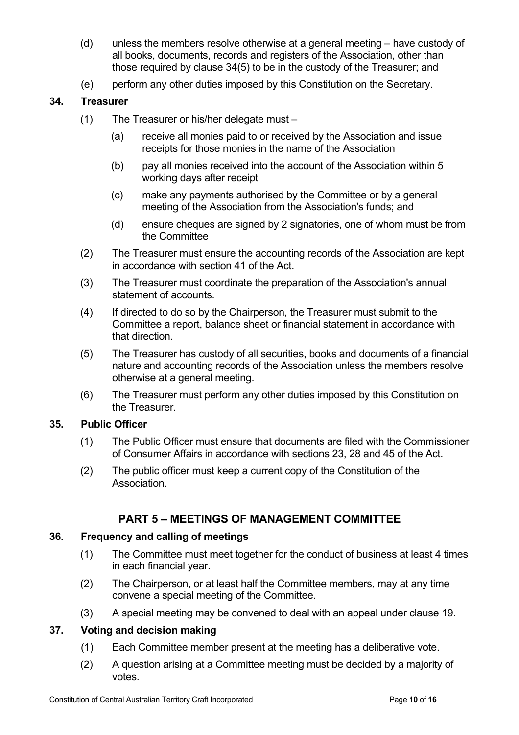- (d) unless the members resolve otherwise at a general meeting have custody of all books, documents, records and registers of the Association, other than those required by clause 34(5) to be in the custody of the Treasurer; and
- (e) perform any other duties imposed by this Constitution on the Secretary.

## **34. Treasurer**

- (1) The Treasurer or his/her delegate must
	- (a) receive all monies paid to or received by the Association and issue receipts for those monies in the name of the Association
	- (b) pay all monies received into the account of the Association within 5 working days after receipt
	- (c) make any payments authorised by the Committee or by a general meeting of the Association from the Association's funds; and
	- (d) ensure cheques are signed by 2 signatories, one of whom must be from the Committee
- (2) The Treasurer must ensure the accounting records of the Association are kept in accordance with section 41 of the Act.
- (3) The Treasurer must coordinate the preparation of the Association's annual statement of accounts.
- (4) If directed to do so by the Chairperson, the Treasurer must submit to the Committee a report, balance sheet or financial statement in accordance with that direction.
- (5) The Treasurer has custody of all securities, books and documents of a financial nature and accounting records of the Association unless the members resolve otherwise at a general meeting.
- (6) The Treasurer must perform any other duties imposed by this Constitution on the Treasurer.

## **35. Public Officer**

- (1) The Public Officer must ensure that documents are filed with the Commissioner of Consumer Affairs in accordance with sections 23, 28 and 45 of the Act.
- (2) The public officer must keep a current copy of the Constitution of the Association.

## **PART 5 – MEETINGS OF MANAGEMENT COMMITTEE**

## **36. Frequency and calling of meetings**

- (1) The Committee must meet together for the conduct of business at least 4 times in each financial year.
- (2) The Chairperson, or at least half the Committee members, may at any time convene a special meeting of the Committee.
- (3) A special meeting may be convened to deal with an appeal under clause 19.

## **37. Voting and decision making**

- (1) Each Committee member present at the meeting has a deliberative vote.
- (2) A question arising at a Committee meeting must be decided by a majority of votes.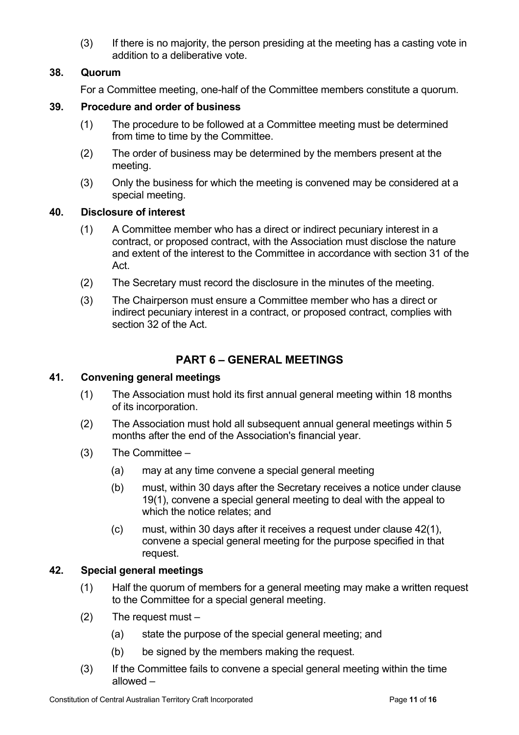(3) If there is no majority, the person presiding at the meeting has a casting vote in addition to a deliberative vote.

## **38. Quorum**

For a Committee meeting, one-half of the Committee members constitute a quorum.

## **39. Procedure and order of business**

- (1) The procedure to be followed at a Committee meeting must be determined from time to time by the Committee.
- (2) The order of business may be determined by the members present at the meeting.
- (3) Only the business for which the meeting is convened may be considered at a special meeting.

## **40. Disclosure of interest**

- (1) A Committee member who has a direct or indirect pecuniary interest in a contract, or proposed contract, with the Association must disclose the nature and extent of the interest to the Committee in accordance with section 31 of the Act.
- (2) The Secretary must record the disclosure in the minutes of the meeting.
- (3) The Chairperson must ensure a Committee member who has a direct or indirect pecuniary interest in a contract, or proposed contract, complies with section 32 of the Act.

# **PART 6 – GENERAL MEETINGS**

## **41. Convening general meetings**

- (1) The Association must hold its first annual general meeting within 18 months of its incorporation.
- (2) The Association must hold all subsequent annual general meetings within 5 months after the end of the Association's financial year.
- $(3)$  The Committee
	- (a) may at any time convene a special general meeting
	- (b) must, within 30 days after the Secretary receives a notice under clause 19(1), convene a special general meeting to deal with the appeal to which the notice relates; and
	- (c) must, within 30 days after it receives a request under clause 42(1), convene a special general meeting for the purpose specified in that request.

## **42. Special general meetings**

- (1) Half the quorum of members for a general meeting may make a written request to the Committee for a special general meeting.
- (2) The request must
	- (a) state the purpose of the special general meeting; and
	- (b) be signed by the members making the request.
- (3) If the Committee fails to convene a special general meeting within the time allowed –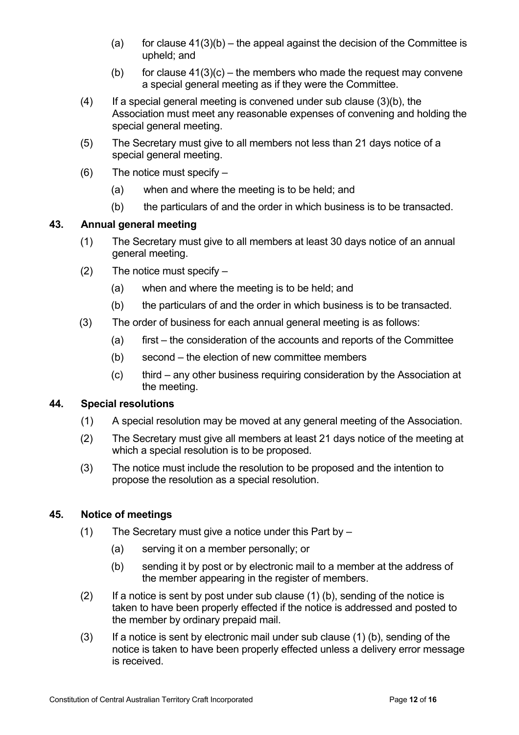- (a) for clause  $41(3)(b)$  the appeal against the decision of the Committee is upheld; and
- (b) for clause  $41(3)(c)$  the members who made the request may convene a special general meeting as if they were the Committee.
- $(4)$  If a special general meeting is convened under sub clause  $(3)(b)$ , the Association must meet any reasonable expenses of convening and holding the special general meeting.
- (5) The Secretary must give to all members not less than 21 days notice of a special general meeting.
- $(6)$  The notice must specify
	- (a) when and where the meeting is to be held; and
	- (b) the particulars of and the order in which business is to be transacted.

## **43. Annual general meeting**

- (1) The Secretary must give to all members at least 30 days notice of an annual general meeting.
- $(2)$  The notice must specify
	- (a) when and where the meeting is to be held; and
	- (b) the particulars of and the order in which business is to be transacted.
- (3) The order of business for each annual general meeting is as follows:
	- (a) first the consideration of the accounts and reports of the Committee
	- (b) second the election of new committee members
	- (c) third any other business requiring consideration by the Association at the meeting.

## **44. Special resolutions**

- (1) A special resolution may be moved at any general meeting of the Association.
- (2) The Secretary must give all members at least 21 days notice of the meeting at which a special resolution is to be proposed.
- (3) The notice must include the resolution to be proposed and the intention to propose the resolution as a special resolution.

## **45. Notice of meetings**

- (1) The Secretary must give a notice under this Part by  $-$ 
	- (a) serving it on a member personally; or
	- (b) sending it by post or by electronic mail to a member at the address of the member appearing in the register of members.
- $(2)$  If a notice is sent by post under sub clause  $(1)$  (b), sending of the notice is taken to have been properly effected if the notice is addressed and posted to the member by ordinary prepaid mail.
- (3) If a notice is sent by electronic mail under sub clause (1) (b), sending of the notice is taken to have been properly effected unless a delivery error message is received.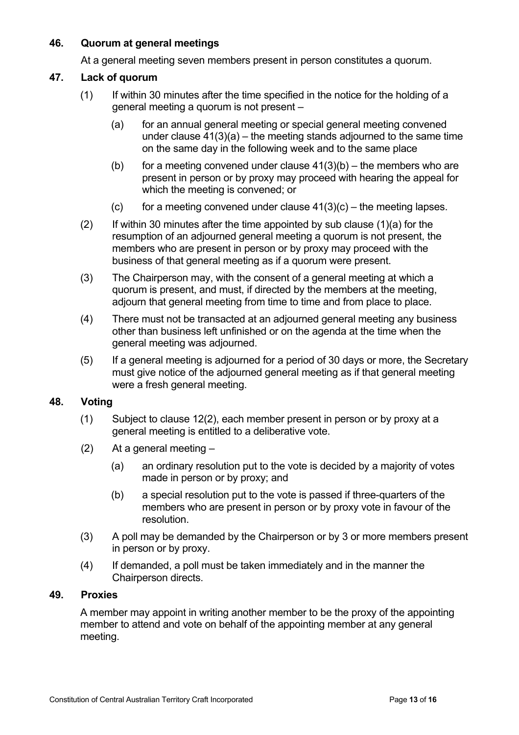## **46. Quorum at general meetings**

At a general meeting seven members present in person constitutes a quorum.

## **47. Lack of quorum**

- (1) If within 30 minutes after the time specified in the notice for the holding of a general meeting a quorum is not present –
	- (a) for an annual general meeting or special general meeting convened under clause  $41(3)(a)$  – the meeting stands adjourned to the same time on the same day in the following week and to the same place
	- (b) for a meeting convened under clause  $41(3)(b)$  the members who are present in person or by proxy may proceed with hearing the appeal for which the meeting is convened; or
	- (c) for a meeting convened under clause  $41(3)(c)$  the meeting lapses.
- $(2)$  If within 30 minutes after the time appointed by sub clause  $(1)(a)$  for the resumption of an adjourned general meeting a quorum is not present, the members who are present in person or by proxy may proceed with the business of that general meeting as if a quorum were present.
- (3) The Chairperson may, with the consent of a general meeting at which a quorum is present, and must, if directed by the members at the meeting, adjourn that general meeting from time to time and from place to place.
- (4) There must not be transacted at an adjourned general meeting any business other than business left unfinished or on the agenda at the time when the general meeting was adjourned.
- (5) If a general meeting is adjourned for a period of 30 days or more, the Secretary must give notice of the adjourned general meeting as if that general meeting were a fresh general meeting.

## **48. Voting**

- (1) Subject to clause 12(2), each member present in person or by proxy at a general meeting is entitled to a deliberative vote.
- $(2)$  At a general meeting
	- (a) an ordinary resolution put to the vote is decided by a majority of votes made in person or by proxy; and
	- (b) a special resolution put to the vote is passed if three-quarters of the members who are present in person or by proxy vote in favour of the resolution.
- (3) A poll may be demanded by the Chairperson or by 3 or more members present in person or by proxy.
- (4) If demanded, a poll must be taken immediately and in the manner the Chairperson directs.

## **49. Proxies**

A member may appoint in writing another member to be the proxy of the appointing member to attend and vote on behalf of the appointing member at any general meeting.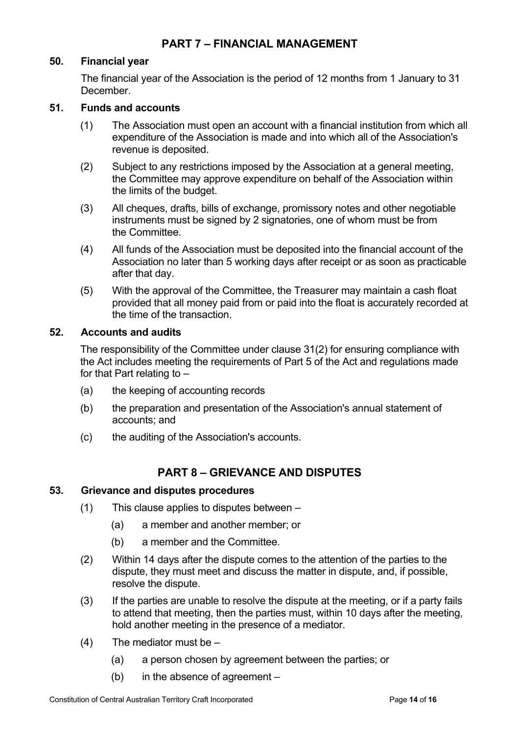## **50. Financial year**

The financial year of the Association is the period of 12 months from 1 January to 31 December.

#### **51. Funds and accounts**

- (1) The Association must open an account with a financial institution from which all expenditure of the Association is made and into which all of the Association's revenue is deposited.
- (2) Subject to any restrictions imposed by the Association at a general meeting, the Committee may approve expenditure on behalf of the Association within the limits of the budget.
- (3) All cheques, drafts, bills of exchange, promissory notes and other negotiable instruments must be signed by 2 signatories, one of whom must be from the Committee.
- (4) All funds of the Association must be deposited into the financial account of the Association no later than 5 working days after receipt or as soon as practicable after that day.
- (5) With the approval of the Committee, the Treasurer may maintain a cash float provided that all money paid from or paid into the float is accurately recorded at the time of the transaction.

#### **52. Accounts and audits**

The responsibility of the Committee under clause 31(2) for ensuring compliance with the Act includes meeting the requirements of Part 5 of the Act and regulations made for that Part relating to –

- (a) the keeping of accounting records
- (b) the preparation and presentation of the Association's annual statement of accounts; and
- (c) the auditing of the Association's accounts.

## **PART 8 – GRIEVANCE AND DISPUTES**

#### **53. Grievance and disputes procedures**

- (1) This clause applies to disputes between
	- (a) a member and another member; or
	- (b) a member and the Committee.
- (2) Within 14 days after the dispute comes to the attention of the parties to the dispute, they must meet and discuss the matter in dispute, and, if possible, resolve the dispute.
- (3) If the parties are unable to resolve the dispute at the meeting, or if a party fails to attend that meeting, then the parties must, within 10 days after the meeting, hold another meeting in the presence of a mediator.
- $(4)$  The mediator must be
	- (a) a person chosen by agreement between the parties; or
	- (b) in the absence of agreement –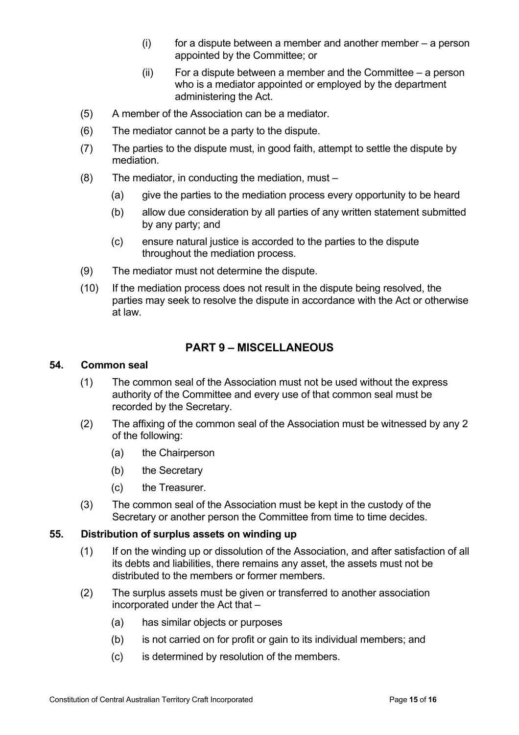- $(i)$  for a dispute between a member and another member  $-$  a person appointed by the Committee; or
- (ii) For a dispute between a member and the Committee a person who is a mediator appointed or employed by the department administering the Act.
- (5) A member of the Association can be a mediator.
- (6) The mediator cannot be a party to the dispute.
- (7) The parties to the dispute must, in good faith, attempt to settle the dispute by mediation.
- (8) The mediator, in conducting the mediation, must
	- (a) give the parties to the mediation process every opportunity to be heard
	- (b) allow due consideration by all parties of any written statement submitted by any party; and
	- (c) ensure natural justice is accorded to the parties to the dispute throughout the mediation process.
- (9) The mediator must not determine the dispute.
- (10) If the mediation process does not result in the dispute being resolved, the parties may seek to resolve the dispute in accordance with the Act or otherwise at law.

## **PART 9 – MISCELLANEOUS**

#### **54. Common seal**

- (1) The common seal of the Association must not be used without the express authority of the Committee and every use of that common seal must be recorded by the Secretary.
- (2) The affixing of the common seal of the Association must be witnessed by any 2 of the following:
	- (a) the Chairperson
	- (b) the Secretary
	- (c) the Treasurer.
- (3) The common seal of the Association must be kept in the custody of the Secretary or another person the Committee from time to time decides.

#### **55. Distribution of surplus assets on winding up**

- (1) If on the winding up or dissolution of the Association, and after satisfaction of all its debts and liabilities, there remains any asset, the assets must not be distributed to the members or former members.
- (2) The surplus assets must be given or transferred to another association incorporated under the Act that –
	- (a) has similar objects or purposes
	- (b) is not carried on for profit or gain to its individual members; and
	- (c) is determined by resolution of the members.